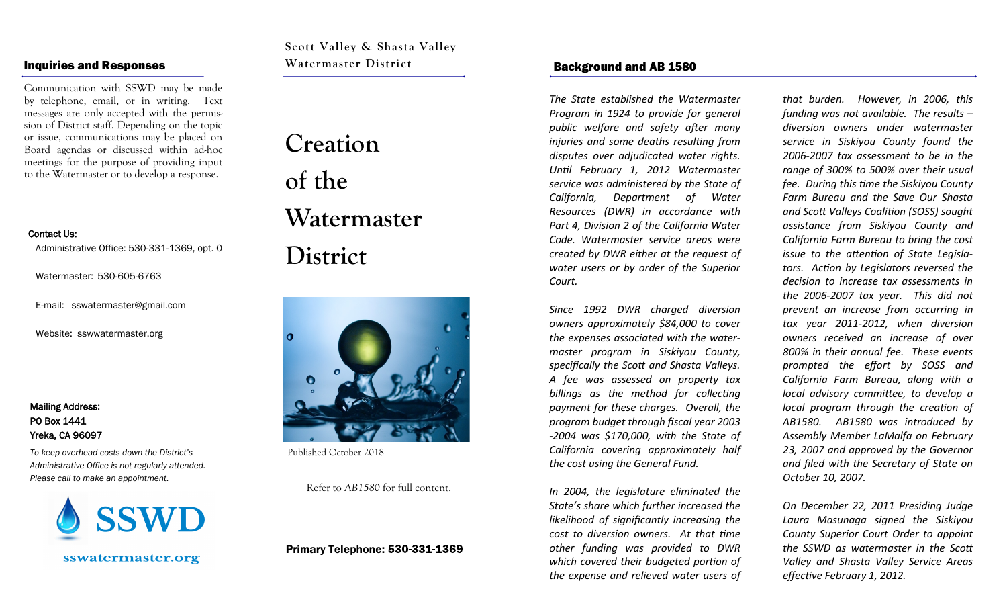#### Inquiries and Responses

Communication with SSWD may be made by telephone, email, or in writing. Text messages are only accepted with the permission of District staff. Depending on the topic or issue, communications may be placed on Board agendas or discussed within ad-hoc meetings for the purpose of providing input to the Watermaster or to develop a response.

#### Contact Us:

Administrative Office: 530-331-1369, opt. 0

Watermaster: 530-605-6763

E-mail: sswatermaster@gmail.com

Website: sswwatermaster.org

Mailing Address: PO Box 1441 Yreka, CA 96097

*To keep overhead costs down the District's Administrative Office is not regularly attended. Please call to make an appointment.*

sswatermaster.org

**Scott Valley & Shasta Valley Watermaster District**

# **Creation of the Watermaster District**



Published October 2018

Refer to *AB1580* for full content.

#### Primary Telephone: 530-331-1369

#### Background and AB 1580

*The State established the Watermaster Program in 1924 to provide for general public welfare and safety after many injuries and some deaths resulting from disputes over adjudicated water rights. Until February 1, 2012 Watermaster service was administered by the State of California, Department of Water Resources (DWR) in accordance with Part 4, Division 2 of the California Water Code. Watermaster service areas were created by DWR either at the request of water users or by order of the Superior Court.* 

*Since 1992 DWR charged diversion owners approximately \$84,000 to cover the expenses associated with the watermaster program in Siskiyou County, specifically the Scott and Shasta Valleys. A fee was assessed on property tax billings as the method for collecting payment for these charges. Overall, the program budget through fiscal year 2003 -2004 was \$170,000, with the State of California covering approximately half the cost using the General Fund.* 

*In 2004, the legislature eliminated the State's share which further increased the likelihood of significantly increasing the cost to diversion owners. At that time other funding was provided to DWR which covered their budgeted portion of the expense and relieved water users of* 

*that burden. However, in 2006, this funding was not available. The results – diversion owners under watermaster service in Siskiyou County found the 2006-2007 tax assessment to be in the range of 300% to 500% over their usual fee. During this time the Siskiyou County Farm Bureau and the Save Our Shasta and Scott Valleys Coalition (SOSS) sought assistance from Siskiyou County and California Farm Bureau to bring the cost issue to the attention of State Legislators. Action by Legislators reversed the decision to increase tax assessments in the 2006-2007 tax year. This did not prevent an increase from occurring in tax year 2011-2012, when diversion owners received an increase of over 800% in their annual fee. These events prompted the effort by SOSS and California Farm Bureau, along with a local advisory committee, to develop a local program through the creation of AB1580. AB1580 was introduced by Assembly Member LaMalfa on February 23, 2007 and approved by the Governor and filed with the Secretary of State on October 10, 2007.*

*On December 22, 2011 Presiding Judge Laura Masunaga signed the Siskiyou County Superior Court Order to appoint the SSWD as watermaster in the Scott Valley and Shasta Valley Service Areas effective February 1, 2012.*